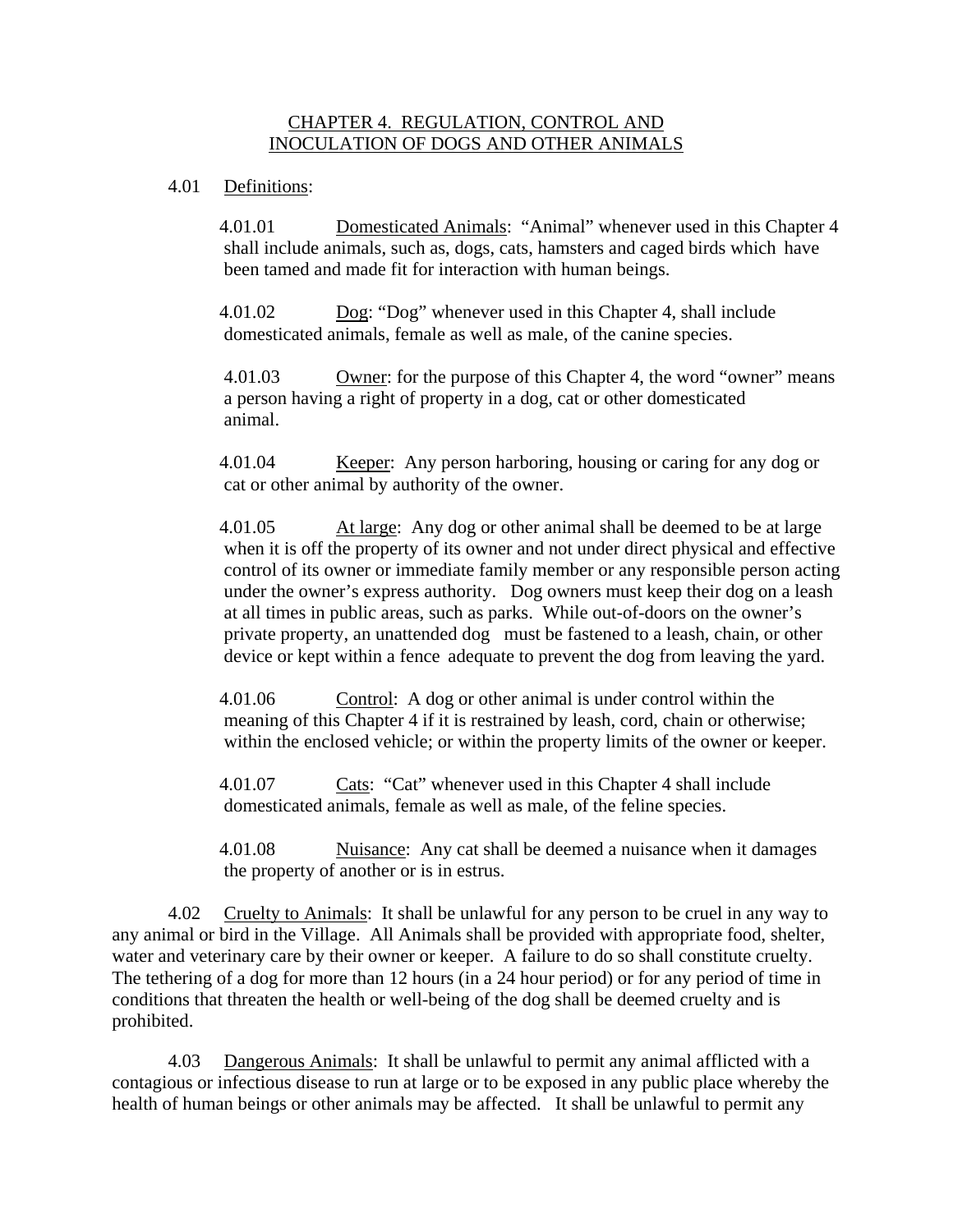## CHAPTER 4. REGULATION, CONTROL AND INOCULATION OF DOGS AND OTHER ANIMALS

## 4.01 Definitions:

 4.01.01 Domesticated Animals: "Animal" whenever used in this Chapter 4 shall include animals, such as, dogs, cats, hamsters and caged birds which have been tamed and made fit for interaction with human beings.

 4.01.02 Dog: "Dog" whenever used in this Chapter 4, shall include domesticated animals, female as well as male, of the canine species.

 4.01.03 Owner: for the purpose of this Chapter 4, the word "owner" means a person having a right of property in a dog, cat or other domesticated animal.

 4.01.04 Keeper: Any person harboring, housing or caring for any dog or cat or other animal by authority of the owner.

 4.01.05 At large: Any dog or other animal shall be deemed to be at large when it is off the property of its owner and not under direct physical and effective control of its owner or immediate family member or any responsible person acting under the owner's express authority. Dog owners must keep their dog on a leash at all times in public areas, such as parks. While out-of-doors on the owner's private property, an unattended dog must be fastened to a leash, chain, or other device or kept within a fence adequate to prevent the dog from leaving the yard.

 4.01.06 Control: A dog or other animal is under control within the meaning of this Chapter 4 if it is restrained by leash, cord, chain or otherwise; within the enclosed vehicle; or within the property limits of the owner or keeper.

4.01.07 Cats: "Cat" whenever used in this Chapter 4 shall include domesticated animals, female as well as male, of the feline species.

 4.01.08 Nuisance: Any cat shall be deemed a nuisance when it damages the property of another or is in estrus.

4.02 Cruelty to Animals: It shall be unlawful for any person to be cruel in any way to any animal or bird in the Village. All Animals shall be provided with appropriate food, shelter, water and veterinary care by their owner or keeper. A failure to do so shall constitute cruelty. The tethering of a dog for more than 12 hours (in a 24 hour period) or for any period of time in conditions that threaten the health or well-being of the dog shall be deemed cruelty and is prohibited.

4.03 Dangerous Animals: It shall be unlawful to permit any animal afflicted with a contagious or infectious disease to run at large or to be exposed in any public place whereby the health of human beings or other animals may be affected. It shall be unlawful to permit any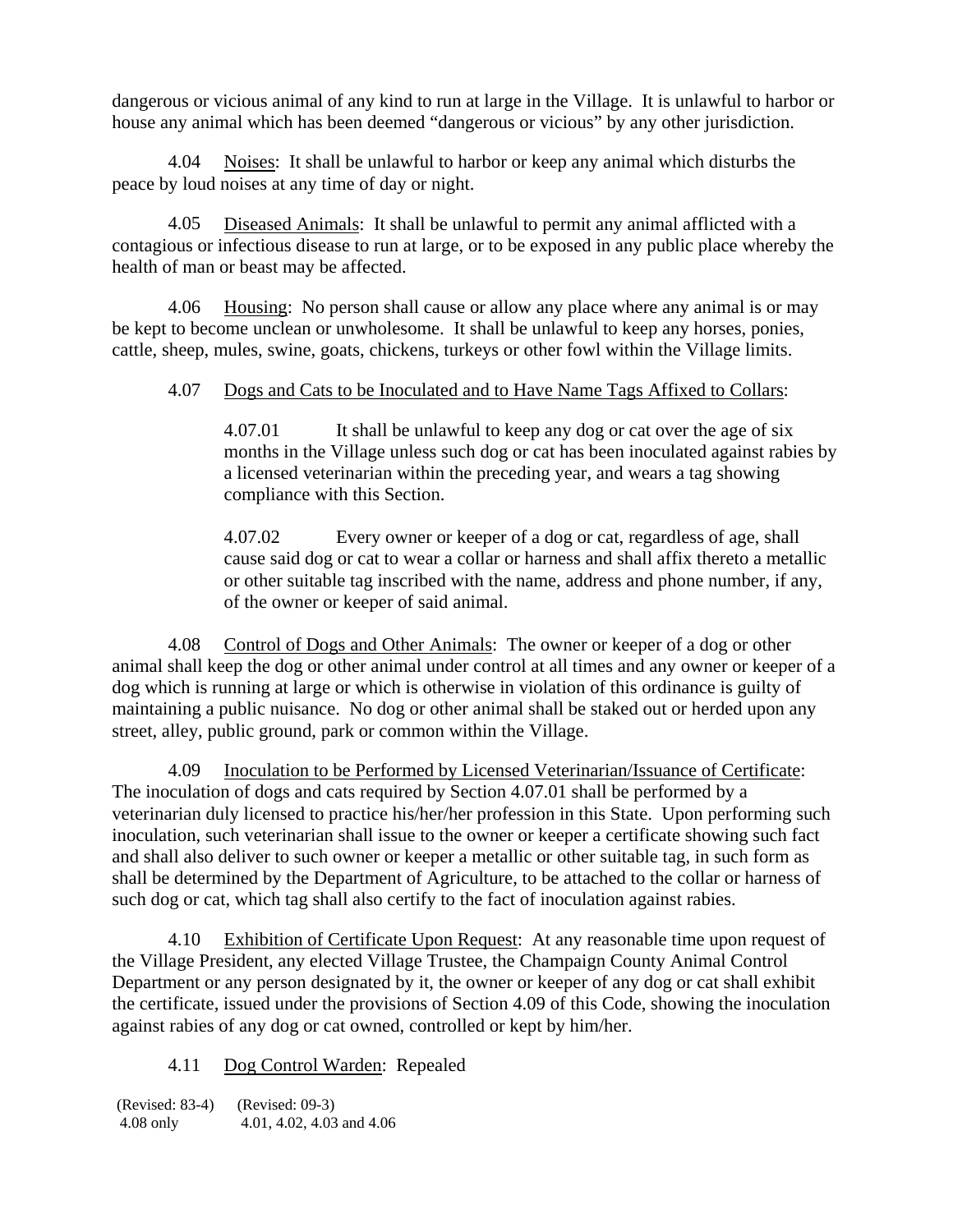dangerous or vicious animal of any kind to run at large in the Village. It is unlawful to harbor or house any animal which has been deemed "dangerous or vicious" by any other jurisdiction.

4.04 Noises: It shall be unlawful to harbor or keep any animal which disturbs the peace by loud noises at any time of day or night.

4.05 Diseased Animals: It shall be unlawful to permit any animal afflicted with a contagious or infectious disease to run at large, or to be exposed in any public place whereby the health of man or beast may be affected.

4.06 Housing: No person shall cause or allow any place where any animal is or may be kept to become unclean or unwholesome. It shall be unlawful to keep any horses, ponies, cattle, sheep, mules, swine, goats, chickens, turkeys or other fowl within the Village limits.

## 4.07 Dogs and Cats to be Inoculated and to Have Name Tags Affixed to Collars:

4.07.01 It shall be unlawful to keep any dog or cat over the age of six months in the Village unless such dog or cat has been inoculated against rabies by a licensed veterinarian within the preceding year, and wears a tag showing compliance with this Section.

4.07.02 Every owner or keeper of a dog or cat, regardless of age, shall cause said dog or cat to wear a collar or harness and shall affix thereto a metallic or other suitable tag inscribed with the name, address and phone number, if any, of the owner or keeper of said animal.

4.08 Control of Dogs and Other Animals: The owner or keeper of a dog or other animal shall keep the dog or other animal under control at all times and any owner or keeper of a dog which is running at large or which is otherwise in violation of this ordinance is guilty of maintaining a public nuisance. No dog or other animal shall be staked out or herded upon any street, alley, public ground, park or common within the Village.

4.09 Inoculation to be Performed by Licensed Veterinarian/Issuance of Certificate: The inoculation of dogs and cats required by Section 4.07.01 shall be performed by a veterinarian duly licensed to practice his/her/her profession in this State. Upon performing such inoculation, such veterinarian shall issue to the owner or keeper a certificate showing such fact and shall also deliver to such owner or keeper a metallic or other suitable tag, in such form as shall be determined by the Department of Agriculture, to be attached to the collar or harness of such dog or cat, which tag shall also certify to the fact of inoculation against rabies.

4.10 Exhibition of Certificate Upon Request: At any reasonable time upon request of the Village President, any elected Village Trustee, the Champaign County Animal Control Department or any person designated by it, the owner or keeper of any dog or cat shall exhibit the certificate, issued under the provisions of Section 4.09 of this Code, showing the inoculation against rabies of any dog or cat owned, controlled or kept by him/her.

4.11 Dog Control Warden: Repealed

(Revised: 83-4) (Revised: 09-3) 4.08 only 4.01, 4.02, 4.03 and 4.06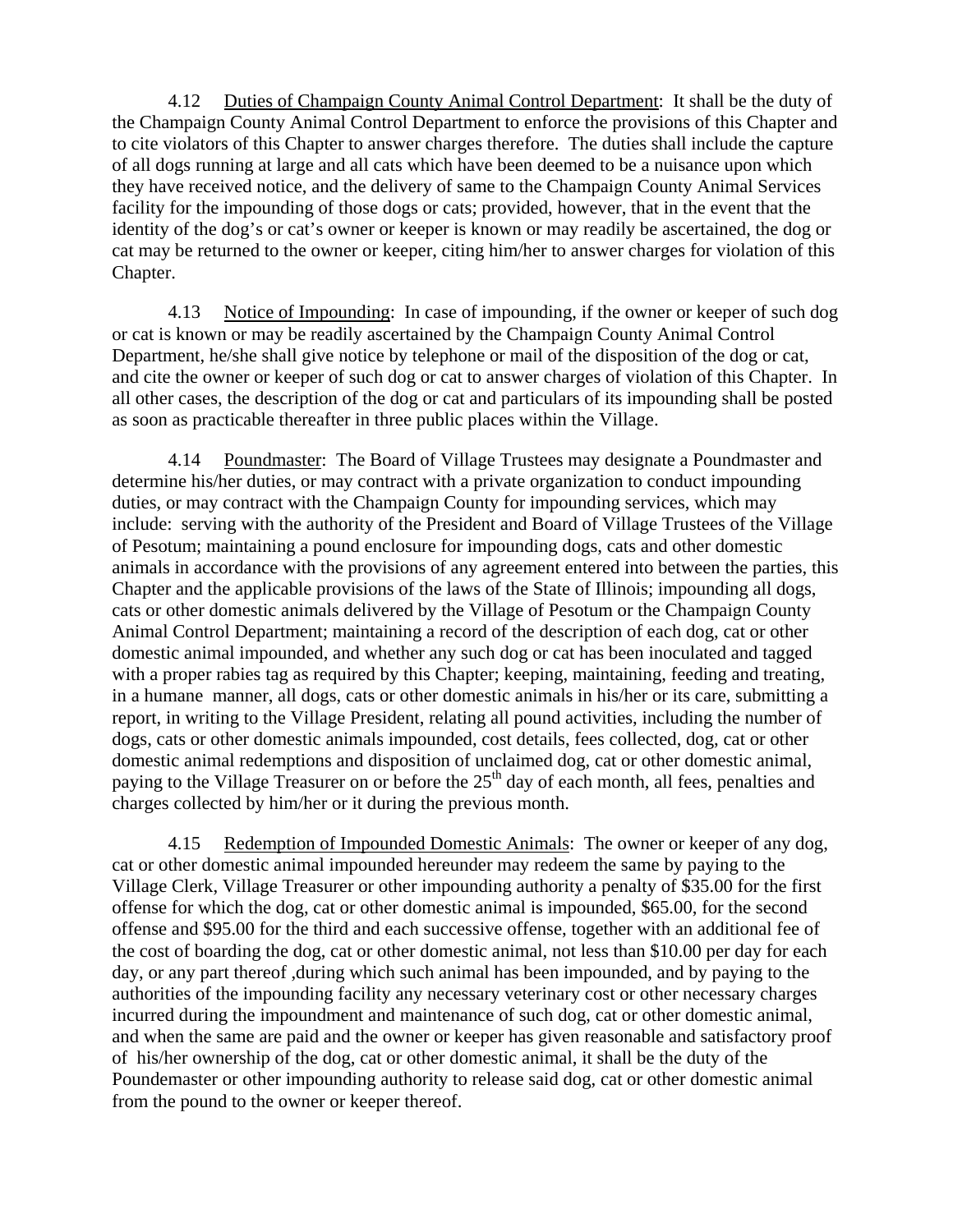4.12 Duties of Champaign County Animal Control Department: It shall be the duty of the Champaign County Animal Control Department to enforce the provisions of this Chapter and to cite violators of this Chapter to answer charges therefore. The duties shall include the capture of all dogs running at large and all cats which have been deemed to be a nuisance upon which they have received notice, and the delivery of same to the Champaign County Animal Services facility for the impounding of those dogs or cats; provided, however, that in the event that the identity of the dog's or cat's owner or keeper is known or may readily be ascertained, the dog or cat may be returned to the owner or keeper, citing him/her to answer charges for violation of this Chapter.

4.13 Notice of Impounding: In case of impounding, if the owner or keeper of such dog or cat is known or may be readily ascertained by the Champaign County Animal Control Department, he/she shall give notice by telephone or mail of the disposition of the dog or cat, and cite the owner or keeper of such dog or cat to answer charges of violation of this Chapter. In all other cases, the description of the dog or cat and particulars of its impounding shall be posted as soon as practicable thereafter in three public places within the Village.

4.14 Poundmaster: The Board of Village Trustees may designate a Poundmaster and determine his/her duties, or may contract with a private organization to conduct impounding duties, or may contract with the Champaign County for impounding services, which may include: serving with the authority of the President and Board of Village Trustees of the Village of Pesotum; maintaining a pound enclosure for impounding dogs, cats and other domestic animals in accordance with the provisions of any agreement entered into between the parties, this Chapter and the applicable provisions of the laws of the State of Illinois; impounding all dogs, cats or other domestic animals delivered by the Village of Pesotum or the Champaign County Animal Control Department; maintaining a record of the description of each dog, cat or other domestic animal impounded, and whether any such dog or cat has been inoculated and tagged with a proper rabies tag as required by this Chapter; keeping, maintaining, feeding and treating, in a humane manner, all dogs, cats or other domestic animals in his/her or its care, submitting a report, in writing to the Village President, relating all pound activities, including the number of dogs, cats or other domestic animals impounded, cost details, fees collected, dog, cat or other domestic animal redemptions and disposition of unclaimed dog, cat or other domestic animal, paying to the Village Treasurer on or before the 25<sup>th</sup> day of each month, all fees, penalties and charges collected by him/her or it during the previous month.

4.15 Redemption of Impounded Domestic Animals: The owner or keeper of any dog, cat or other domestic animal impounded hereunder may redeem the same by paying to the Village Clerk, Village Treasurer or other impounding authority a penalty of \$35.00 for the first offense for which the dog, cat or other domestic animal is impounded, \$65.00, for the second offense and \$95.00 for the third and each successive offense, together with an additional fee of the cost of boarding the dog, cat or other domestic animal, not less than \$10.00 per day for each day, or any part thereof ,during which such animal has been impounded, and by paying to the authorities of the impounding facility any necessary veterinary cost or other necessary charges incurred during the impoundment and maintenance of such dog, cat or other domestic animal, and when the same are paid and the owner or keeper has given reasonable and satisfactory proof of his/her ownership of the dog, cat or other domestic animal, it shall be the duty of the Poundemaster or other impounding authority to release said dog, cat or other domestic animal from the pound to the owner or keeper thereof.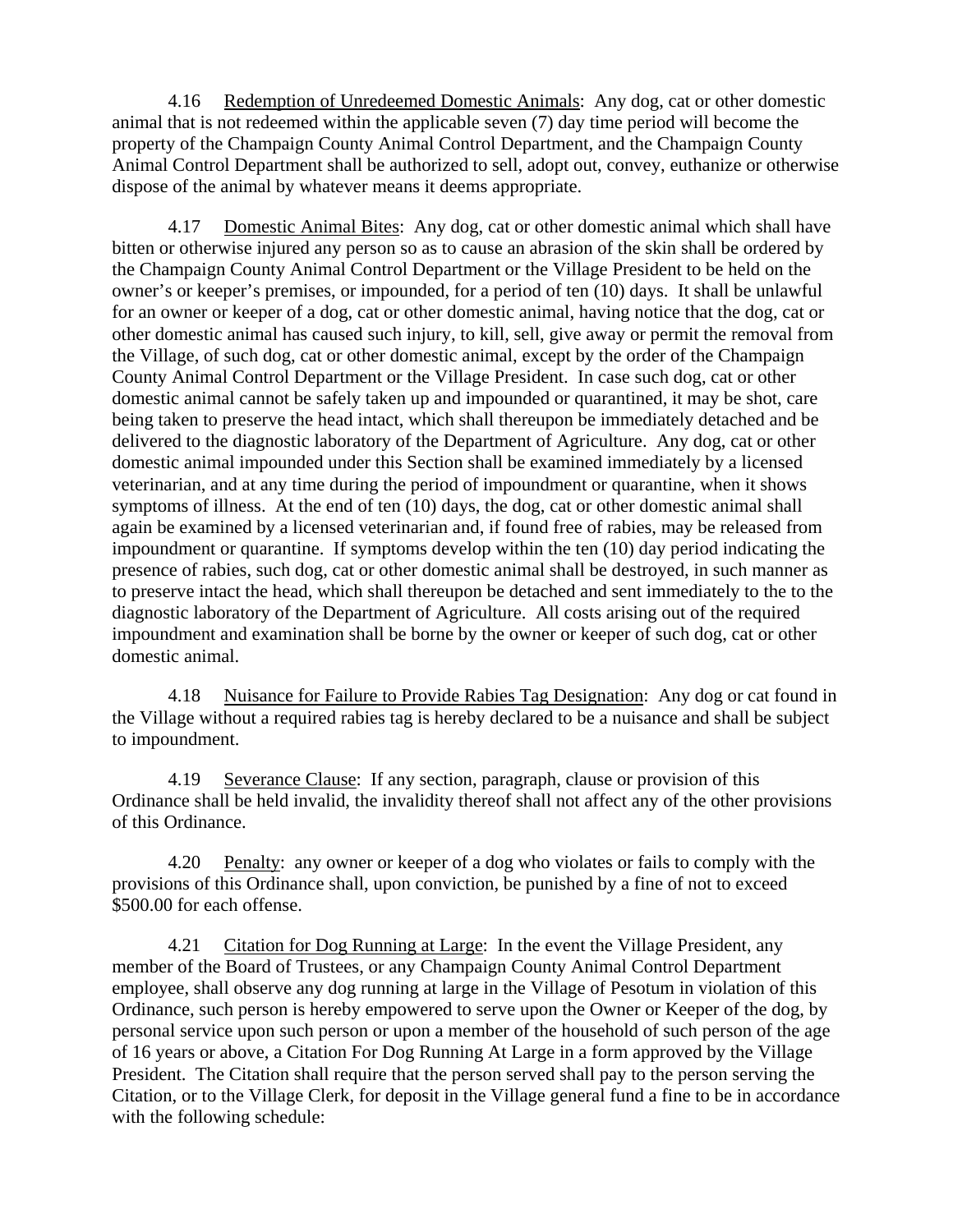4.16 Redemption of Unredeemed Domestic Animals: Any dog, cat or other domestic animal that is not redeemed within the applicable seven (7) day time period will become the property of the Champaign County Animal Control Department, and the Champaign County Animal Control Department shall be authorized to sell, adopt out, convey, euthanize or otherwise dispose of the animal by whatever means it deems appropriate.

4.17 Domestic Animal Bites: Any dog, cat or other domestic animal which shall have bitten or otherwise injured any person so as to cause an abrasion of the skin shall be ordered by the Champaign County Animal Control Department or the Village President to be held on the owner's or keeper's premises, or impounded, for a period of ten (10) days. It shall be unlawful for an owner or keeper of a dog, cat or other domestic animal, having notice that the dog, cat or other domestic animal has caused such injury, to kill, sell, give away or permit the removal from the Village, of such dog, cat or other domestic animal, except by the order of the Champaign County Animal Control Department or the Village President. In case such dog, cat or other domestic animal cannot be safely taken up and impounded or quarantined, it may be shot, care being taken to preserve the head intact, which shall thereupon be immediately detached and be delivered to the diagnostic laboratory of the Department of Agriculture. Any dog, cat or other domestic animal impounded under this Section shall be examined immediately by a licensed veterinarian, and at any time during the period of impoundment or quarantine, when it shows symptoms of illness. At the end of ten (10) days, the dog, cat or other domestic animal shall again be examined by a licensed veterinarian and, if found free of rabies, may be released from impoundment or quarantine. If symptoms develop within the ten (10) day period indicating the presence of rabies, such dog, cat or other domestic animal shall be destroyed, in such manner as to preserve intact the head, which shall thereupon be detached and sent immediately to the to the diagnostic laboratory of the Department of Agriculture. All costs arising out of the required impoundment and examination shall be borne by the owner or keeper of such dog, cat or other domestic animal.

4.18 Nuisance for Failure to Provide Rabies Tag Designation: Any dog or cat found in the Village without a required rabies tag is hereby declared to be a nuisance and shall be subject to impoundment.

4.19 Severance Clause: If any section, paragraph, clause or provision of this Ordinance shall be held invalid, the invalidity thereof shall not affect any of the other provisions of this Ordinance.

4.20 Penalty: any owner or keeper of a dog who violates or fails to comply with the provisions of this Ordinance shall, upon conviction, be punished by a fine of not to exceed \$500.00 for each offense.

4.21 Citation for Dog Running at Large: In the event the Village President, any member of the Board of Trustees, or any Champaign County Animal Control Department employee, shall observe any dog running at large in the Village of Pesotum in violation of this Ordinance, such person is hereby empowered to serve upon the Owner or Keeper of the dog, by personal service upon such person or upon a member of the household of such person of the age of 16 years or above, a Citation For Dog Running At Large in a form approved by the Village President. The Citation shall require that the person served shall pay to the person serving the Citation, or to the Village Clerk, for deposit in the Village general fund a fine to be in accordance with the following schedule: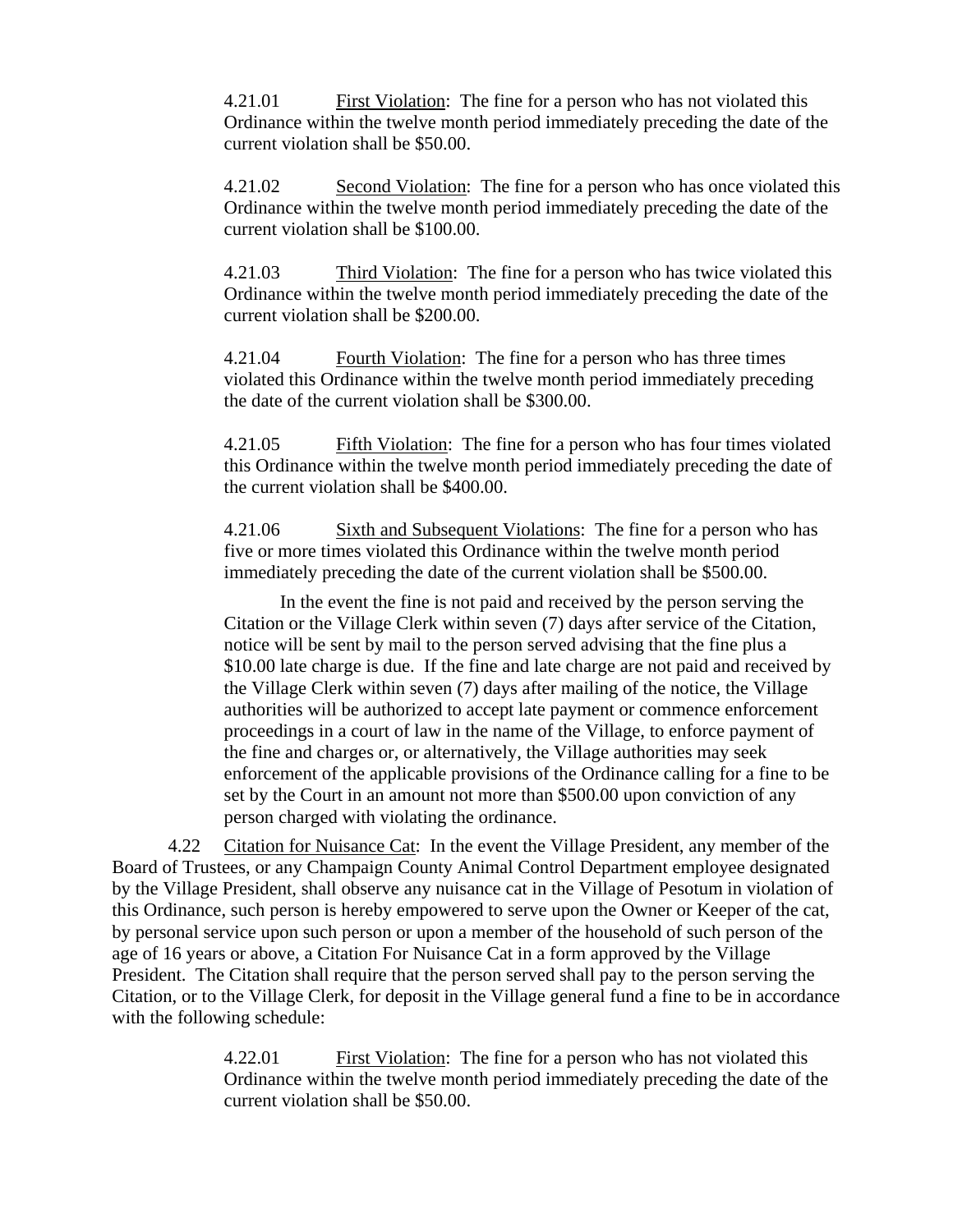4.21.01 First Violation: The fine for a person who has not violated this Ordinance within the twelve month period immediately preceding the date of the current violation shall be \$50.00.

4.21.02 Second Violation: The fine for a person who has once violated this Ordinance within the twelve month period immediately preceding the date of the current violation shall be \$100.00.

4.21.03 Third Violation: The fine for a person who has twice violated this Ordinance within the twelve month period immediately preceding the date of the current violation shall be \$200.00.

4.21.04 Fourth Violation: The fine for a person who has three times violated this Ordinance within the twelve month period immediately preceding the date of the current violation shall be \$300.00.

4.21.05 Fifth Violation: The fine for a person who has four times violated this Ordinance within the twelve month period immediately preceding the date of the current violation shall be \$400.00.

4.21.06 Sixth and Subsequent Violations: The fine for a person who has five or more times violated this Ordinance within the twelve month period immediately preceding the date of the current violation shall be \$500.00.

In the event the fine is not paid and received by the person serving the Citation or the Village Clerk within seven (7) days after service of the Citation, notice will be sent by mail to the person served advising that the fine plus a \$10.00 late charge is due. If the fine and late charge are not paid and received by the Village Clerk within seven (7) days after mailing of the notice, the Village authorities will be authorized to accept late payment or commence enforcement proceedings in a court of law in the name of the Village, to enforce payment of the fine and charges or, or alternatively, the Village authorities may seek enforcement of the applicable provisions of the Ordinance calling for a fine to be set by the Court in an amount not more than \$500.00 upon conviction of any person charged with violating the ordinance.

4.22 Citation for Nuisance Cat: In the event the Village President, any member of the Board of Trustees, or any Champaign County Animal Control Department employee designated by the Village President, shall observe any nuisance cat in the Village of Pesotum in violation of this Ordinance, such person is hereby empowered to serve upon the Owner or Keeper of the cat, by personal service upon such person or upon a member of the household of such person of the age of 16 years or above, a Citation For Nuisance Cat in a form approved by the Village President. The Citation shall require that the person served shall pay to the person serving the Citation, or to the Village Clerk, for deposit in the Village general fund a fine to be in accordance with the following schedule:

> 4.22.01 First Violation: The fine for a person who has not violated this Ordinance within the twelve month period immediately preceding the date of the current violation shall be \$50.00.